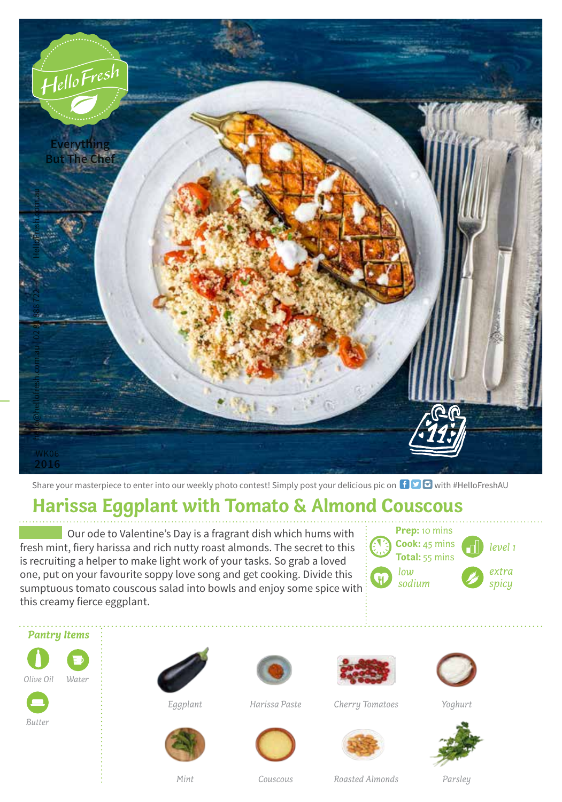

Share your masterpiece to enter into our weekly photo contest! Simply post your delicious pic on  $\Box$   $\Box$  with #HelloFreshAU

## **Harissa Eggplant with Tomato & Almond Couscous**

Our ode to Valentine's Day is a fragrant dish which hums with fresh mint, fiery harissa and rich nutty roast almonds. The secret to this is recruiting a helper to make light work of your tasks. So grab a loved one, put on your favourite soppy love song and get cooking. Divide this sumptuous tomato couscous salad into bowls and enjoy some spice with this creamy fierce eggplant.

| <b>Prep:</b> 10 mins |         |
|----------------------|---------|
| Cook: 45 mins        | level 1 |
| Total: 55 mins       |         |
| low                  | extra   |
| sodium               | spicy   |
|                      |         |







*Eggplant*





*Harissa Paste*





*Cherry Tomatoes*



*Yoghurt*



*Mint*

*Couscous*

*Roasted Almonds*

*Parsley*